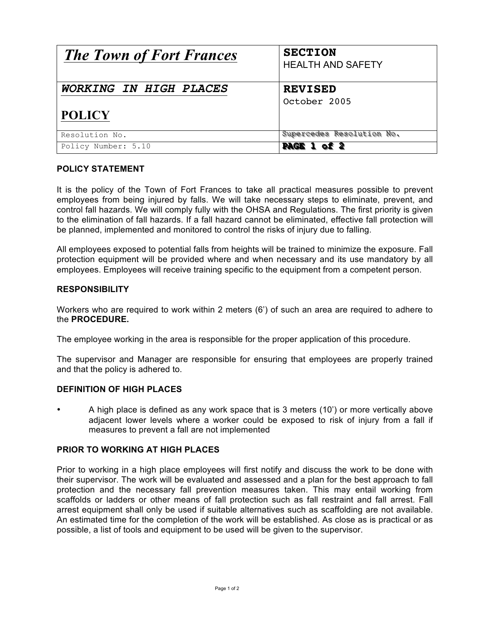| <b>The Town of Fort Frances</b> | <b>SECTION</b><br><b>HEALTH AND SAFETY</b> |
|---------------------------------|--------------------------------------------|
| WORKING IN HIGH PLACES          | <b>REVISED</b><br>October 2005             |
| <b>POLICY</b>                   |                                            |
| Resolution No.                  | Supercedes Resolution No.                  |
| Policy Number: 5.10             | <b>PAGE 1 of 2</b>                         |

# **POLICY STATEMENT**

It is the policy of the Town of Fort Frances to take all practical measures possible to prevent employees from being injured by falls. We will take necessary steps to eliminate, prevent, and control fall hazards. We will comply fully with the OHSA and Regulations. The first priority is given to the elimination of fall hazards. If a fall hazard cannot be eliminated, effective fall protection will be planned, implemented and monitored to control the risks of injury due to falling.

All employees exposed to potential falls from heights will be trained to minimize the exposure. Fall protection equipment will be provided where and when necessary and its use mandatory by all employees. Employees will receive training specific to the equipment from a competent person.

## **RESPONSIBILITY**

Workers who are required to work within 2 meters (6') of such an area are required to adhere to the **PROCEDURE.**

The employee working in the area is responsible for the proper application of this procedure.

The supervisor and Manager are responsible for ensuring that employees are properly trained and that the policy is adhered to.

#### **DEFINITION OF HIGH PLACES**

• A high place is defined as any work space that is 3 meters (10') or more vertically above adjacent lower levels where a worker could be exposed to risk of injury from a fall if measures to prevent a fall are not implemented

### **PRIOR TO WORKING AT HIGH PLACES**

Prior to working in a high place employees will first notify and discuss the work to be done with their supervisor. The work will be evaluated and assessed and a plan for the best approach to fall protection and the necessary fall prevention measures taken. This may entail working from scaffolds or ladders or other means of fall protection such as fall restraint and fall arrest. Fall arrest equipment shall only be used if suitable alternatives such as scaffolding are not available. An estimated time for the completion of the work will be established. As close as is practical or as possible, a list of tools and equipment to be used will be given to the supervisor.